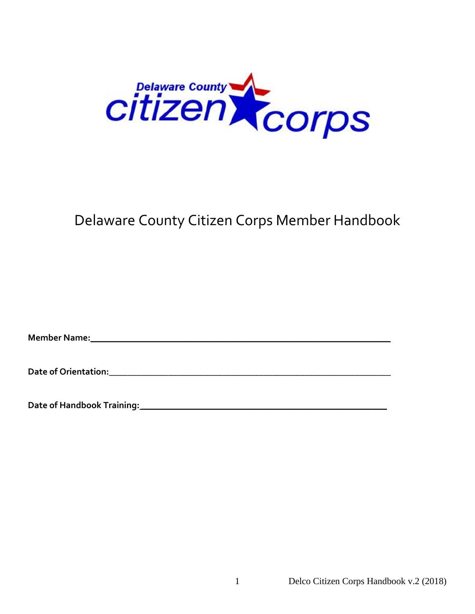

# Delaware County Citizen Corps Member Handbook

**Member Name: Contract Contract Contract Contract Contract Contract Contract Contract Contract Contract Contract Contract Contract Contract Contract Contract Contract Contract Contract Contract Contract Contract Contract** 

**Date of Orientation:\_\_\_\_\_\_\_\_\_\_\_\_\_\_\_\_\_\_\_\_\_\_\_\_\_\_\_\_\_\_\_\_\_\_\_\_\_\_\_\_\_\_\_\_\_\_\_\_\_\_\_\_\_\_\_\_\_\_\_\_\_\_**

**Date of Handbook Training: \_\_\_\_\_\_\_\_\_\_\_\_\_\_\_\_\_\_\_\_\_\_\_\_\_\_\_\_\_\_\_\_\_\_\_\_\_\_\_\_\_\_\_\_\_\_\_\_\_\_\_\_\_\_**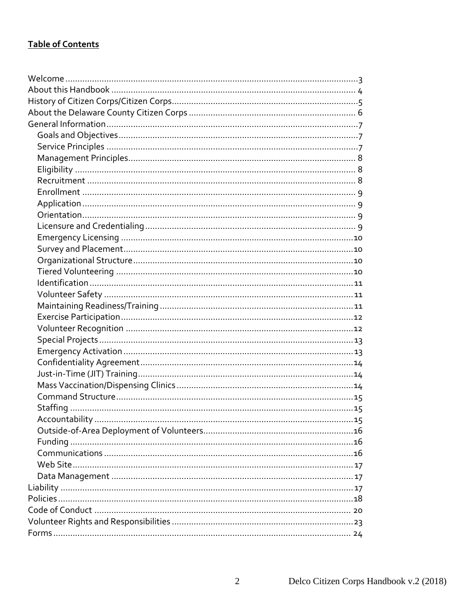# **Table of Contents**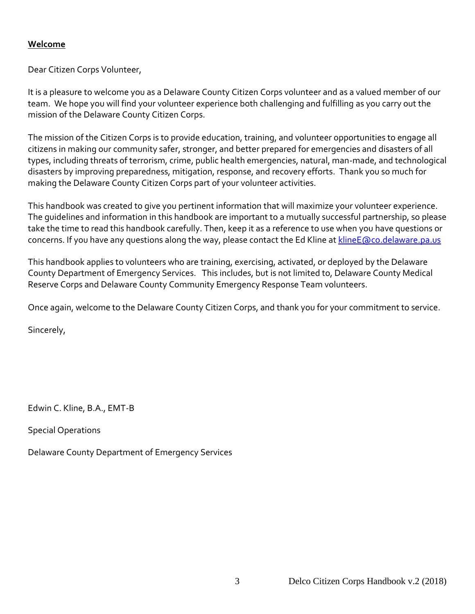## <span id="page-2-0"></span>**Welcome**

Dear Citizen Corps Volunteer,

It is a pleasure to welcome you as a Delaware County Citizen Corps volunteer and as a valued member of our team. We hope you will find your volunteer experience both challenging and fulfilling as you carry out the mission of the Delaware County Citizen Corps.

The mission of the Citizen Corps is to provide education, training, and volunteer opportunities to engage all citizens in making our community safer, stronger, and better prepared for emergencies and disasters of all types, including threats of terrorism, crime, public health emergencies, natural, man-made, and technological disasters by improving preparedness, mitigation, response, and recovery efforts. Thank you so much for making the Delaware County Citizen Corps part of your volunteer activities.

This handbook was created to give you pertinent information that will maximize your volunteer experience. The guidelines and information in this handbook are important to a mutually successful partnership, so please take the time to read this handbook carefully. Then, keep it as a reference to use when you have questions or concerns. If you have any questions along the way, please contact the Ed Kline at [klineE@co.delaware.pa.us](mailto:klineE@co.delaware.pa.us)

This handbook applies to volunteers who are training, exercising, activated, or deployed by the Delaware County Department of Emergency Services. This includes, but is not limited to, Delaware County Medical Reserve Corps and Delaware County Community Emergency Response Team volunteers.

Once again, welcome to the Delaware County Citizen Corps, and thank you for your commitment to service.

Sincerely,

Edwin C. Kline, B.A., EMT-B

Special Operations

Delaware County Department of Emergency Services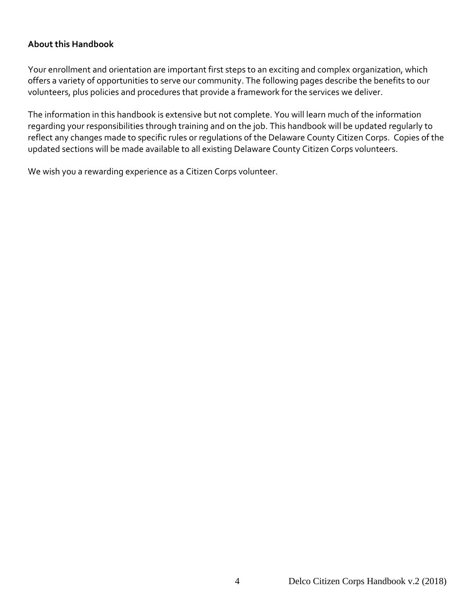## <span id="page-3-0"></span>**About this Handbook**

Your enrollment and orientation are important first steps to an exciting and complex organization, which offers a variety of opportunities to serve our community. The following pages describe the benefits to our volunteers, plus policies and procedures that provide a framework for the services we deliver.

The information in this handbook is extensive but not complete. You will learn much of the information regarding your responsibilities through training and on the job. This handbook will be updated regularly to reflect any changes made to specific rules or regulations of the Delaware County Citizen Corps. Copies of the updated sections will be made available to all existing Delaware County Citizen Corps volunteers.

We wish you a rewarding experience as a Citizen Corps volunteer.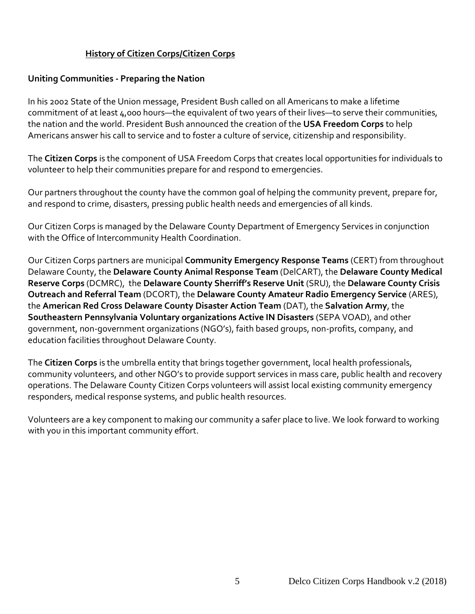## **History of Citizen Corps/Citizen Corps**

#### <span id="page-4-0"></span>**Uniting Communities - Preparing the Nation**

In his 2002 State of the Union message, President Bush called on all Americans to make a lifetime commitment of at least 4,000 hours—the equivalent of two years of their lives—to serve their communities, the nation and the world. President Bush announced the creation of the **USA Freedom Corps** to help Americans answer his call to service and to foster a culture of service, citizenship and responsibility.

The **Citizen Corps** is the component of USA Freedom Corps that creates local opportunities for individuals to volunteer to help their communities prepare for and respond to emergencies.

Our partners throughout the county have the common goal of helping the community prevent, prepare for, and respond to crime, disasters, pressing public health needs and emergencies of all kinds.

Our Citizen Corps is managed by the Delaware County Department of Emergency Services in conjunction with the Office of Intercommunity Health Coordination.

Our Citizen Corps partners are municipal **Community Emergency Response Teams** (CERT) from throughout Delaware County, the **Delaware County Animal Response Team** (DelCART), the **Delaware County Medical Reserve Corps** (DCMRC), the **Delaware County Sherriff's Reserve Unit** (SRU), the **Delaware County Crisis Outreach and Referral Team** (DCORT), the **Delaware County Amateur Radio Emergency Service** (ARES), the **American Red Cross Delaware County Disaster Action Team** (DAT), the **Salvation Army**, the **Southeastern Pennsylvania Voluntary organizations Active IN Disasters** (SEPA VOAD), and other government, non-government organizations (NGO's), faith based groups, non-profits, company, and education facilities throughout Delaware County.

The **Citizen Corps** is the umbrella entity that brings together government, local health professionals, community volunteers, and other NGO's to provide support services in mass care, public health and recovery operations. The Delaware County Citizen Corps volunteers will assist local existing community emergency responders, medical response systems, and public health resources.

Volunteers are a key component to making our community a safer place to live. We look forward to working with you in this important community effort.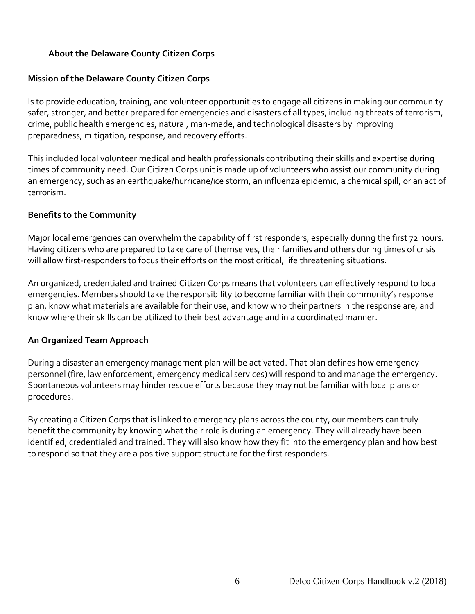## <span id="page-5-0"></span>**About the Delaware County Citizen Corps**

#### **Mission of the Delaware County Citizen Corps**

Is to provide education, training, and volunteer opportunities to engage all citizens in making our community safer, stronger, and better prepared for emergencies and disasters of all types, including threats of terrorism, crime, public health emergencies, natural, man-made, and technological disasters by improving preparedness, mitigation, response, and recovery efforts.

This included local volunteer medical and health professionals contributing their skills and expertise during times of community need. Our Citizen Corps unit is made up of volunteers who assist our community during an emergency, such as an earthquake/hurricane/ice storm, an influenza epidemic, a chemical spill, or an act of terrorism.

#### **Benefits to the Community**

Major local emergencies can overwhelm the capability of first responders, especially during the first 72 hours. Having citizens who are prepared to take care of themselves, their families and others during times of crisis will allow first-responders to focus their efforts on the most critical, life threatening situations.

An organized, credentialed and trained Citizen Corps means that volunteers can effectively respond to local emergencies. Members should take the responsibility to become familiar with their community's response plan, know what materials are available for their use, and know who their partners in the response are, and know where their skills can be utilized to their best advantage and in a coordinated manner.

#### **An Organized Team Approach**

During a disaster an emergency management plan will be activated. That plan defines how emergency personnel (fire, law enforcement, emergency medical services) will respond to and manage the emergency. Spontaneous volunteers may hinder rescue efforts because they may not be familiar with local plans or procedures.

By creating a Citizen Corps that is linked to emergency plans across the county, our members can truly benefit the community by knowing what their role is during an emergency. They will already have been identified, credentialed and trained. They will also know how they fit into the emergency plan and how best to respond so that they are a positive support structure for the first responders.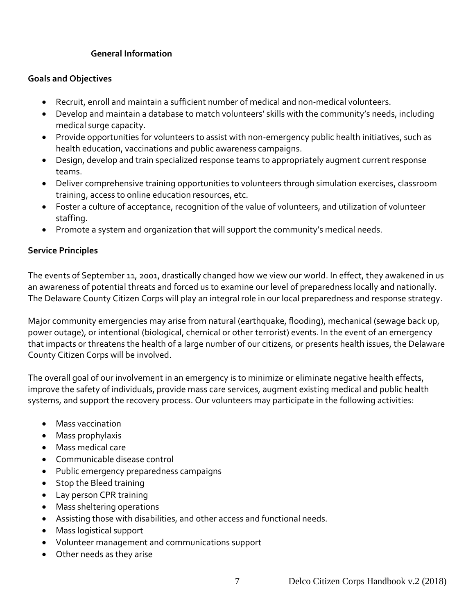## **General Information**

#### <span id="page-6-1"></span><span id="page-6-0"></span>**Goals and Objectives**

- Recruit, enroll and maintain a sufficient number of medical and non-medical volunteers.
- Develop and maintain a database to match volunteers' skills with the community's needs, including medical surge capacity.
- Provide opportunities for volunteers to assist with non-emergency public health initiatives, such as health education, vaccinations and public awareness campaigns.
- Design, develop and train specialized response teams to appropriately augment current response teams.
- Deliver comprehensive training opportunities to volunteers through simulation exercises, classroom training, access to online education resources, etc.
- Foster a culture of acceptance, recognition of the value of volunteers, and utilization of volunteer staffing.
- Promote a system and organization that will support the community's medical needs.

## <span id="page-6-2"></span>**Service Principles**

The events of September 11, 2001, drastically changed how we view our world. In effect, they awakened in us an awareness of potential threats and forced us to examine our level of preparedness locally and nationally. The Delaware County Citizen Corps will play an integral role in our local preparedness and response strategy.

Major community emergencies may arise from natural (earthquake, flooding), mechanical (sewage back up, power outage), or intentional (biological, chemical or other terrorist) events. In the event of an emergency that impacts or threatens the health of a large number of our citizens, or presents health issues, the Delaware County Citizen Corps will be involved.

The overall goal of our involvement in an emergency is to minimize or eliminate negative health effects, improve the safety of individuals, provide mass care services, augment existing medical and public health systems, and support the recovery process. Our volunteers may participate in the following activities:

- Mass vaccination
- Mass prophylaxis
- Mass medical care
- Communicable disease control
- Public emergency preparedness campaigns
- Stop the Bleed training
- Lay person CPR training
- Mass sheltering operations
- Assisting those with disabilities, and other access and functional needs.
- Mass logistical support
- Volunteer management and communications support
- Other needs as they arise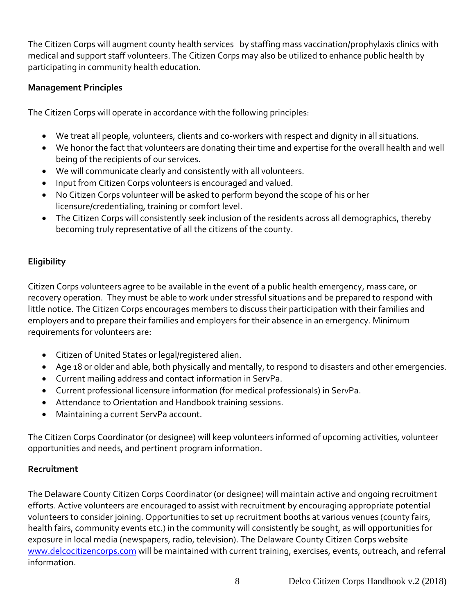The Citizen Corps will augment county health services by staffing mass vaccination/prophylaxis clinics with medical and support staff volunteers. The Citizen Corps may also be utilized to enhance public health by participating in community health education.

## <span id="page-7-0"></span>**Management Principles**

The Citizen Corps will operate in accordance with the following principles:

- We treat all people, volunteers, clients and co-workers with respect and dignity in all situations.
- We honor the fact that volunteers are donating their time and expertise for the overall health and well being of the recipients of our services.
- We will communicate clearly and consistently with all volunteers.
- Input from Citizen Corps volunteers is encouraged and valued.
- No Citizen Corps volunteer will be asked to perform beyond the scope of his or her licensure/credentialing, training or comfort level.
- The Citizen Corps will consistently seek inclusion of the residents across all demographics, thereby becoming truly representative of all the citizens of the county.

# <span id="page-7-1"></span>**Eligibility**

Citizen Corps volunteers agree to be available in the event of a public health emergency, mass care, or recovery operation. They must be able to work under stressful situations and be prepared to respond with little notice. The Citizen Corps encourages members to discuss their participation with their families and employers and to prepare their families and employers for their absence in an emergency. Minimum requirements for volunteers are:

- Citizen of United States or legal/registered alien.
- Age 18 or older and able, both physically and mentally, to respond to disasters and other emergencies.
- Current mailing address and contact information in ServPa.
- Current professional licensure information (for medical professionals) in ServPa.
- Attendance to Orientation and Handbook training sessions.
- Maintaining a current ServPa account.

The Citizen Corps Coordinator (or designee) will keep volunteers informed of upcoming activities, volunteer opportunities and needs, and pertinent program information.

## <span id="page-7-2"></span>**Recruitment**

The Delaware County Citizen Corps Coordinator (or designee) will maintain active and ongoing recruitment efforts. Active volunteers are encouraged to assist with recruitment by encouraging appropriate potential volunteers to consider joining. Opportunities to set up recruitment booths at various venues (county fairs, health fairs, community events etc.) in the community will consistently be sought, as will opportunities for exposure in local media (newspapers, radio, television). The Delaware County Citizen Corps website [www.delcocitizencorps.com](http://www.delcocitizencorps.com/) will be maintained with current training, exercises, events, outreach, and referral information.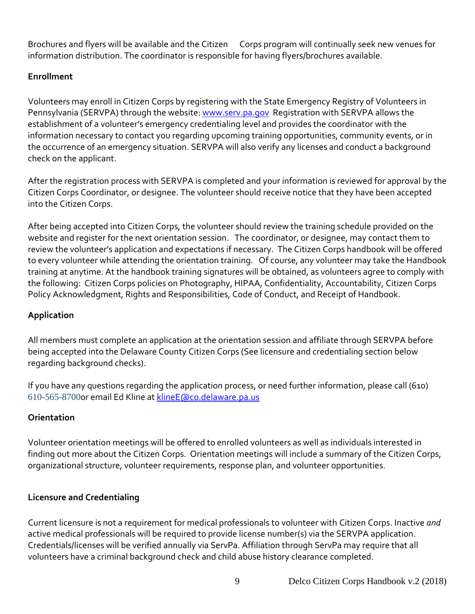Brochures and flyers will be available and the Citizen Corps program will continually seek new venues for information distribution. The coordinator is responsible for having flyers/brochures available.

## <span id="page-8-0"></span>**Enrollment**

Volunteers may enroll in Citizen Corps by registering with the State Emergency Registry of Volunteers in Pennsylvania (SERVPA) through the website: [www.serv.pa.gov](http://www.serv.pa.gov/) Registration with SERVPA allows the establishment of a volunteer's emergency credentialing level and provides the coordinator with the information necessary to contact you regarding upcoming training opportunities, community events, or in the occurrence of an emergency situation. SERVPA will also verify any licenses and conduct a background check on the applicant.

After the registration process with SERVPA is completed and your information is reviewed for approval by the Citizen Corps Coordinator, or designee. The volunteer should receive notice that they have been accepted into the Citizen Corps.

After being accepted into Citizen Corps, the volunteer should review the training schedule provided on the website and register for the next orientation session. The coordinator, or designee, may contact them to review the volunteer's application and expectations if necessary. The Citizen Corps handbook will be offered to every volunteer while attending the orientation training. Of course, any volunteer may take the Handbook training at anytime. At the handbook training signatures will be obtained, as volunteers agree to comply with the following: Citizen Corps policies on Photography, HIPAA, Confidentiality, Accountability, Citizen Corps Policy Acknowledgment, Rights and Responsibilities, Code of Conduct, and Receipt of Handbook.

# <span id="page-8-1"></span>**Application**

All members must complete an application at the orientation session and affiliate through SERVPA before being accepted into the Delaware County Citizen Corps (See licensure and credentialing section below regarding background checks).

If you have any questions regarding the application process, or need further information, please call (610) 610-565-8700or email Ed Kline at [klineE@co.delaware.pa.us](mailto:klineE@co.delaware.pa.us)

# <span id="page-8-2"></span>**Orientation**

Volunteer orientation meetings will be offered to enrolled volunteers as well as individuals interested in finding out more about the Citizen Corps. Orientation meetings will include a summary of the Citizen Corps, organizational structure, volunteer requirements, response plan, and volunteer opportunities.

## <span id="page-8-3"></span>**Licensure and Credentialing**

Current licensure is not a requirement for medical professionals to volunteer with Citizen Corps. Inactive *and*  active medical professionals will be required to provide license number(s) via the SERVPA application. Credentials/licenses will be verified annually via ServPa. Affiliation through ServPa may require that all volunteers have a criminal background check and child abuse history clearance completed.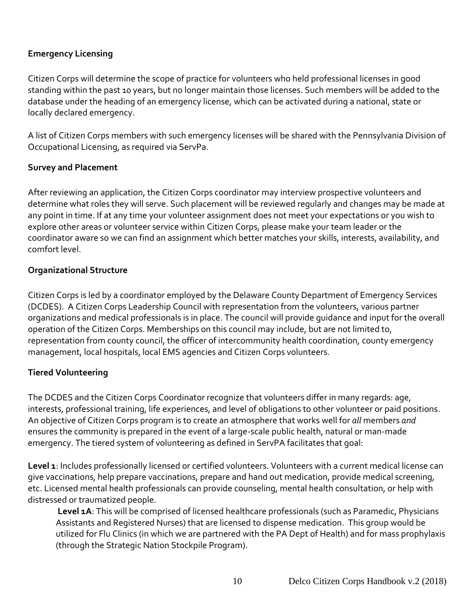## <span id="page-9-0"></span>**Emergency Licensing**

Citizen Corps will determine the scope of practice for volunteers who held professional licenses in good standing within the past 10 years, but no longer maintain those licenses. Such members will be added to the database under the heading of an emergency license, which can be activated during a national, state or locally declared emergency.

A list of Citizen Corps members with such emergency licenses will be shared with the Pennsylvania Division of Occupational Licensing, as required via ServPa.

## <span id="page-9-1"></span>**Survey and Placement**

After reviewing an application, the Citizen Corps coordinator may interview prospective volunteers and determine what roles they will serve. Such placement will be reviewed regularly and changes may be made at any point in time. If at any time your volunteer assignment does not meet your expectations or you wish to explore other areas or volunteer service within Citizen Corps, please make your team leader or the coordinator aware so we can find an assignment which better matches your skills, interests, availability, and comfort level.

## <span id="page-9-2"></span>**Organizational Structure**

Citizen Corps is led by a coordinator employed by the Delaware County Department of Emergency Services (DCDES). A Citizen Corps Leadership Council with representation from the volunteers, various partner organizations and medical professionals is in place. The council will provide guidance and input for the overall operation of the Citizen Corps. Memberships on this council may include, but are not limited to, representation from county council, the officer of intercommunity health coordination, county emergency management, local hospitals, local EMS agencies and Citizen Corps volunteers.

## <span id="page-9-3"></span>**Tiered Volunteering**

The DCDES and the Citizen Corps Coordinator recognize that volunteers differ in many regards: age, interests, professional training, life experiences, and level of obligations to other volunteer or paid positions. An objective of Citizen Corps program is to create an atmosphere that works well for *all* members *and*  ensures the community is prepared in the event of a large-scale public health, natural or man-made emergency. The tiered system of volunteering as defined in ServPA facilitates that goal:

**Level 1**: Includes professionally licensed or certified volunteers. Volunteers with a current medical license can give vaccinations, help prepare vaccinations, prepare and hand out medication, provide medical screening, etc. Licensed mental health professionals can provide counseling, mental health consultation, or help with distressed or traumatized people.

Level 1A: This will be comprised of licensed healthcare professionals (such as Paramedic, Physicians Assistants and Registered Nurses) that are licensed to dispense medication. This group would be utilized for Flu Clinics (in which we are partnered with the PA Dept of Health) and for mass prophylaxis (through the Strategic Nation Stockpile Program).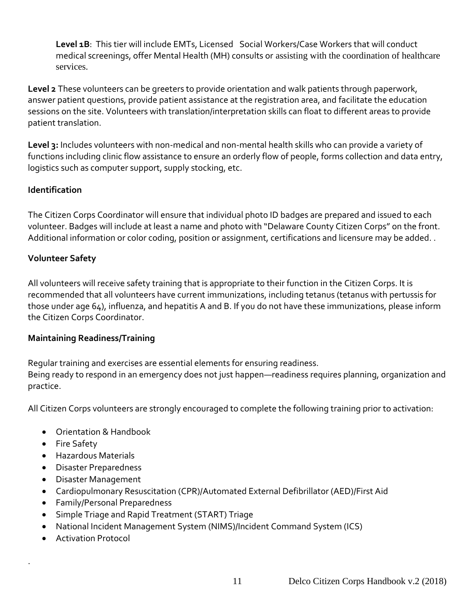**Level 1B**: This tier will include EMTs, Licensed Social Workers/Case Workers that will conduct medical screenings, offer Mental Health (MH) consults or assisting with the coordination of healthcare services.

**Level 2** These volunteers can be greeters to provide orientation and walk patients through paperwork, answer patient questions, provide patient assistance at the registration area, and facilitate the education sessions on the site. Volunteers with translation/interpretation skills can float to different areas to provide patient translation.

<span id="page-10-0"></span>**Level 3:** Includes volunteers with non-medical and non-mental health skills who can provide a variety of functions including clinic flow assistance to ensure an orderly flow of people, forms collection and data entry, logistics such as computer support, supply stocking, etc.

## **Identification**

The Citizen Corps Coordinator will ensure that individual photo ID badges are prepared and issued to each volunteer. Badges will include at least a name and photo with "Delaware County Citizen Corps" on the front. Additional information or color coding, position or assignment, certifications and licensure may be added. .

## <span id="page-10-1"></span>**Volunteer Safety**

All volunteers will receive safety training that is appropriate to their function in the Citizen Corps. It is recommended that all volunteers have current immunizations, including tetanus (tetanus with pertussis for those under age 64), influenza, and hepatitis A and B. If you do not have these immunizations, please inform the Citizen Corps Coordinator.

#### <span id="page-10-2"></span>**Maintaining Readiness/Training**

Regular training and exercises are essential elements for ensuring readiness. Being ready to respond in an emergency does not just happen—readiness requires planning, organization and practice.

All Citizen Corps volunteers are strongly encouraged to complete the following training prior to activation:

- Orientation & Handbook
- Fire Safety
- Hazardous Materials
- Disaster Preparedness
- Disaster Management
- Cardiopulmonary Resuscitation (CPR)/Automated External Defibrillator (AED)/First Aid
- Family/Personal Preparedness
- Simple Triage and Rapid Treatment (START) Triage
- National Incident Management System (NIMS)/Incident Command System (ICS)
- Activation Protocol

.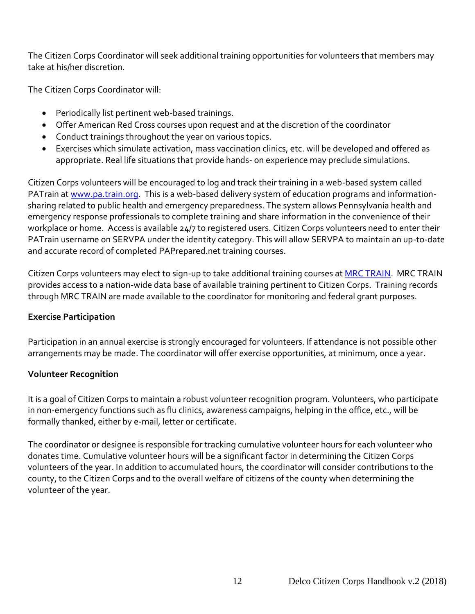The Citizen Corps Coordinator will seek additional training opportunities for volunteers that members may take at his/her discretion.

The Citizen Corps Coordinator will:

- Periodically list pertinent web-based trainings.
- Offer American Red Cross courses upon request and at the discretion of the coordinator
- Conduct trainings throughout the year on various topics.
- Exercises which simulate activation, mass vaccination clinics, etc. will be developed and offered as appropriate. Real life situations that provide hands- on experience may preclude simulations.

Citizen Corps volunteers will be encouraged to log and track their training in a web-based system called PATrain at [www.pa.train.org.](http://www.pa.train.org/) This is a web-based delivery system of education programs and informationsharing related to public health and emergency preparedness. The system allows Pennsylvania health and emergency response professionals to complete training and share information in the convenience of their workplace or home. Access is available 24/7 to registered users. Citizen Corps volunteers need to enter their PATrain username on SERVPA under the identity category. This will allow SERVPA to maintain an up-to-date and accurate record of completed PAPrepared.net training courses.

Citizen Corps volunteers may elect to sign-up to take additional training courses a[t MRC TRAIN.](https://www.mrc.train.org/DesktopShell.aspx) MRC TRAIN provides access to a nation-wide data base of available training pertinent to Citizen Corps. Training records through MRC TRAIN are made available to the coordinator for monitoring and federal grant purposes.

## <span id="page-11-0"></span>**Exercise Participation**

Participation in an annual exercise is strongly encouraged for volunteers. If attendance is not possible other arrangements may be made. The coordinator will offer exercise opportunities, at minimum, once a year.

## <span id="page-11-1"></span>**Volunteer Recognition**

It is a goal of Citizen Corps to maintain a robust volunteer recognition program. Volunteers, who participate in non-emergency functions such as flu clinics, awareness campaigns, helping in the office, etc., will be formally thanked, either by e-mail, letter or certificate.

The coordinator or designee is responsible for tracking cumulative volunteer hours for each volunteer who donates time. Cumulative volunteer hours will be a significant factor in determining the Citizen Corps volunteers of the year. In addition to accumulated hours, the coordinator will consider contributions to the county, to the Citizen Corps and to the overall welfare of citizens of the county when determining the volunteer of the year.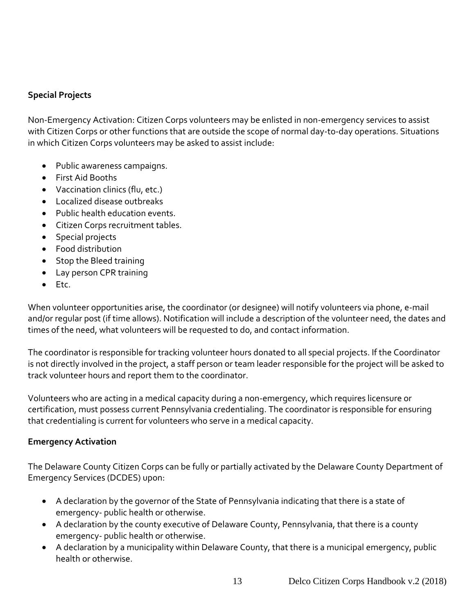## <span id="page-12-0"></span>**Special Projects**

Non-Emergency Activation: Citizen Corps volunteers may be enlisted in non-emergency services to assist with Citizen Corps or other functions that are outside the scope of normal day-to-day operations. Situations in which Citizen Corps volunteers may be asked to assist include:

- Public awareness campaigns.
- First Aid Booths
- Vaccination clinics (flu, etc.)
- Localized disease outbreaks
- Public health education events.
- Citizen Corps recruitment tables.
- Special projects
- Food distribution
- Stop the Bleed training
- Lay person CPR training
- Etc.

When volunteer opportunities arise, the coordinator (or designee) will notify volunteers via phone, e-mail and/or regular post (if time allows). Notification will include a description of the volunteer need, the dates and times of the need, what volunteers will be requested to do, and contact information.

The coordinator is responsible for tracking volunteer hours donated to all special projects. If the Coordinator is not directly involved in the project, a staff person or team leader responsible for the project will be asked to track volunteer hours and report them to the coordinator.

Volunteers who are acting in a medical capacity during a non-emergency, which requires licensure or certification, must possess current Pennsylvania credentialing. The coordinator is responsible for ensuring that credentialing is current for volunteers who serve in a medical capacity.

#### <span id="page-12-1"></span>**Emergency Activation**

The Delaware County Citizen Corps can be fully or partially activated by the Delaware County Department of Emergency Services (DCDES) upon:

- A declaration by the governor of the State of Pennsylvania indicating that there is a state of emergency- public health or otherwise.
- A declaration by the county executive of Delaware County, Pennsylvania, that there is a county emergency- public health or otherwise.
- A declaration by a municipality within Delaware County, that there is a municipal emergency, public health or otherwise.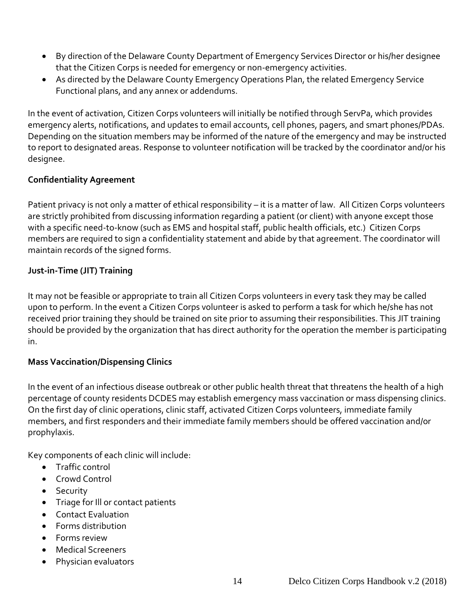- By direction of the Delaware County Department of Emergency Services Director or his/her designee that the Citizen Corps is needed for emergency or non-emergency activities.
- As directed by the Delaware County Emergency Operations Plan, the related Emergency Service Functional plans, and any annex or addendums.

In the event of activation, Citizen Corps volunteers will initially be notified through ServPa, which provides emergency alerts, notifications, and updates to email accounts, cell phones, pagers, and smart phones/PDAs. Depending on the situation members may be informed of the nature of the emergency and may be instructed to report to designated areas. Response to volunteer notification will be tracked by the coordinator and/or his designee.

## <span id="page-13-0"></span>**Confidentiality Agreement**

Patient privacy is not only a matter of ethical responsibility – it is a matter of law. All Citizen Corps volunteers are strictly prohibited from discussing information regarding a patient (or client) with anyone except those with a specific need-to-know (such as EMS and hospital staff, public health officials, etc.) Citizen Corps members are required to sign a confidentiality statement and abide by that agreement. The coordinator will maintain records of the signed forms.

## <span id="page-13-1"></span>**Just-in-Time (JIT) Training**

It may not be feasible or appropriate to train all Citizen Corps volunteers in every task they may be called upon to perform. In the event a Citizen Corps volunteer is asked to perform a task for which he/she has not received prior training they should be trained on site prior to assuming their responsibilities. This JIT training should be provided by the organization that has direct authority for the operation the member is participating in.

#### <span id="page-13-2"></span>**Mass Vaccination/Dispensing Clinics**

In the event of an infectious disease outbreak or other public health threat that threatens the health of a high percentage of county residents DCDES may establish emergency mass vaccination or mass dispensing clinics. On the first day of clinic operations, clinic staff, activated Citizen Corps volunteers, immediate family members, and first responders and their immediate family members should be offered vaccination and/or prophylaxis.

Key components of each clinic will include:

- Traffic control
- Crowd Control
- Security
- Triage for Ill or contact patients
- Contact Evaluation
- Forms distribution
- Forms review
- Medical Screeners
- Physician evaluators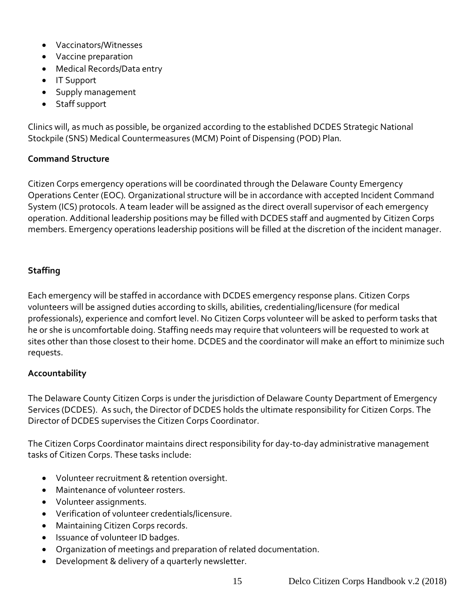- Vaccinators/Witnesses
- Vaccine preparation
- Medical Records/Data entry
- IT Support
- Supply management
- Staff support

Clinics will, as much as possible, be organized according to the established DCDES Strategic National Stockpile (SNS) Medical Countermeasures (MCM) Point of Dispensing (POD) Plan*.*

#### <span id="page-14-0"></span>**Command Structure**

Citizen Corps emergency operations will be coordinated through the Delaware County Emergency Operations Center (EOC)*.* Organizational structure will be in accordance with accepted Incident Command System (ICS) protocols. A team leader will be assigned as the direct overall supervisor of each emergency operation. Additional leadership positions may be filled with DCDES staff and augmented by Citizen Corps members. Emergency operations leadership positions will be filled at the discretion of the incident manager.

## <span id="page-14-1"></span>**Staffing**

Each emergency will be staffed in accordance with DCDES emergency response plans. Citizen Corps volunteers will be assigned duties according to skills, abilities, credentialing/licensure (for medical professionals), experience and comfort level. No Citizen Corps volunteer will be asked to perform tasks that he or she is uncomfortable doing. Staffing needs may require that volunteers will be requested to work at sites other than those closest to their home. DCDES and the coordinator will make an effort to minimize such requests.

#### <span id="page-14-2"></span>**Accountability**

The Delaware County Citizen Corps is under the jurisdiction of Delaware County Department of Emergency Services (DCDES). As such, the Director of DCDES holds the ultimate responsibility for Citizen Corps. The Director of DCDES supervises the Citizen Corps Coordinator.

The Citizen Corps Coordinator maintains direct responsibility for day-to-day administrative management tasks of Citizen Corps. These tasks include:

- Volunteer recruitment & retention oversight.
- Maintenance of volunteer rosters.
- Volunteer assignments.
- Verification of volunteer credentials/licensure.
- Maintaining Citizen Corps records.
- Issuance of volunteer ID badges.
- Organization of meetings and preparation of related documentation.
- Development & delivery of a quarterly newsletter.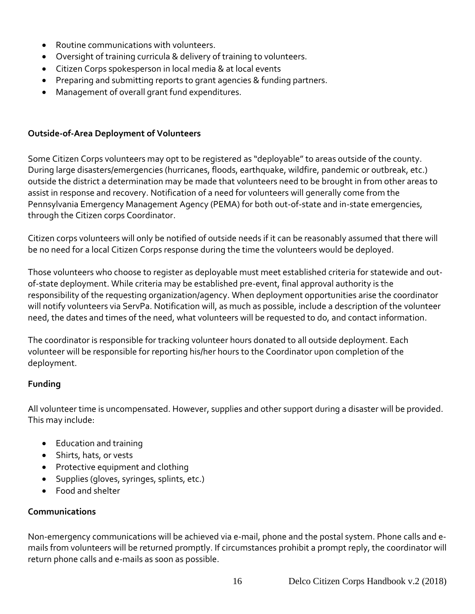- Routine communications with volunteers.
- Oversight of training curricula & delivery of training to volunteers.
- Citizen Corps spokesperson in local media & at local events
- Preparing and submitting reports to grant agencies & funding partners.
- <span id="page-15-0"></span>• Management of overall grant fund expenditures.

#### **Outside-of-Area Deployment of Volunteers**

Some Citizen Corps volunteers may opt to be registered as "deployable" to areas outside of the county. During large disasters/emergencies (hurricanes, floods, earthquake, wildfire, pandemic or outbreak, etc.) outside the district a determination may be made that volunteers need to be brought in from other areas to assist in response and recovery. Notification of a need for volunteers will generally come from the Pennsylvania Emergency Management Agency (PEMA) for both out-of-state and in-state emergencies, through the Citizen corps Coordinator.

Citizen corps volunteers will only be notified of outside needs if it can be reasonably assumed that there will be no need for a local Citizen Corps response during the time the volunteers would be deployed.

Those volunteers who choose to register as deployable must meet established criteria for statewide and outof-state deployment. While criteria may be established pre-event, final approval authority is the responsibility of the requesting organization/agency. When deployment opportunities arise the coordinator will notify volunteers via ServPa. Notification will, as much as possible, include a description of the volunteer need, the dates and times of the need, what volunteers will be requested to do, and contact information.

The coordinator is responsible for tracking volunteer hours donated to all outside deployment. Each volunteer will be responsible for reporting his/her hours to the Coordinator upon completion of the deployment.

#### <span id="page-15-1"></span>**Funding**

All volunteer time is uncompensated. However, supplies and other support during a disaster will be provided. This may include:

- Education and training
- Shirts, hats, or vests
- Protective equipment and clothing
- Supplies (gloves, syringes, splints, etc.)
- Food and shelter

#### <span id="page-15-2"></span>**Communications**

Non-emergency communications will be achieved via e-mail, phone and the postal system. Phone calls and emails from volunteers will be returned promptly. If circumstances prohibit a prompt reply, the coordinator will return phone calls and e-mails as soon as possible.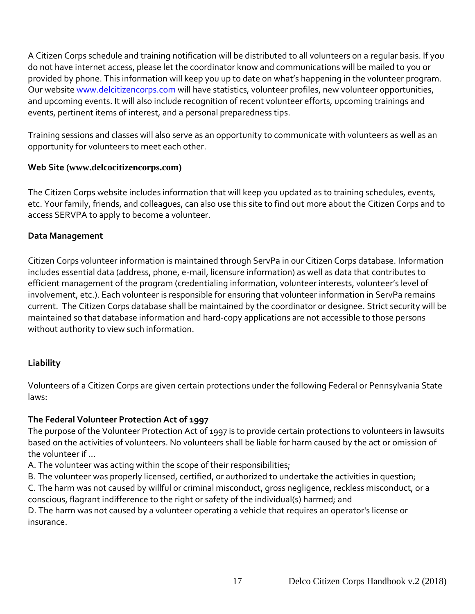A Citizen Corps schedule and training notification will be distributed to all volunteers on a regular basis. If you do not have internet access, please let the coordinator know and communications will be mailed to you or provided by phone. This information will keep you up to date on what's happening in the volunteer program. Our website [www.delcitizencorps.com](http://www.delcitizencorps.com/) will have statistics, volunteer profiles, new volunteer opportunities, and upcoming events. It will also include recognition of recent volunteer efforts, upcoming trainings and events, pertinent items of interest, and a personal preparedness tips.

Training sessions and classes will also serve as an opportunity to communicate with volunteers as well as an opportunity for volunteers to meet each other.

## <span id="page-16-0"></span>**Web Site (www.delcocitizencorps.com)**

The Citizen Corps website includes information that will keep you updated as to training schedules, events, etc. Your family, friends, and colleagues, can also use this site to find out more about the Citizen Corps and to access SERVPA to apply to become a volunteer.

## <span id="page-16-1"></span>**Data Management**

Citizen Corps volunteer information is maintained through ServPa in our Citizen Corps database. Information includes essential data (address, phone, e-mail, licensure information) as well as data that contributes to efficient management of the program (credentialing information, volunteer interests, volunteer's level of involvement, etc.). Each volunteer is responsible for ensuring that volunteer information in ServPa remains current. The Citizen Corps database shall be maintained by the coordinator or designee. Strict security will be maintained so that database information and hard-copy applications are not accessible to those persons without authority to view such information.

## <span id="page-16-2"></span>**Liability**

Volunteers of a Citizen Corps are given certain protections under the following Federal or Pennsylvania State laws:

## **The Federal Volunteer Protection Act of 1997**

The purpose of the Volunteer Protection Act of 1997 is to provide certain protections to volunteers in lawsuits based on the activities of volunteers. No volunteers shall be liable for harm caused by the act or omission of the volunteer if …

A. The volunteer was acting within the scope of their responsibilities;

B. The volunteer was properly licensed, certified, or authorized to undertake the activities in question;

C. The harm was not caused by willful or criminal misconduct, gross negligence, reckless misconduct, or a conscious, flagrant indifference to the right or safety of the individual(s) harmed; and

D. The harm was not caused by a volunteer operating a vehicle that requires an operator's license or insurance.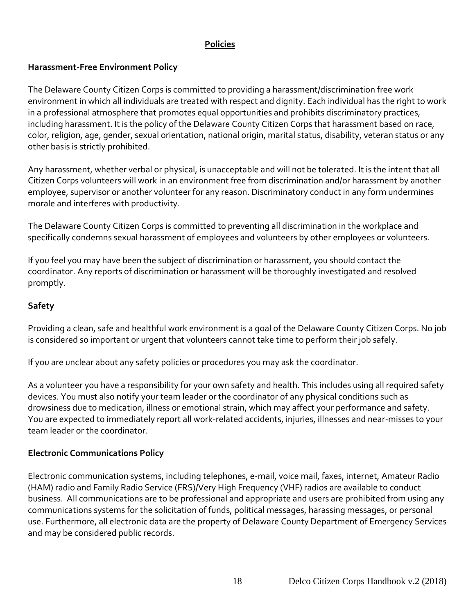## **Policies**

## <span id="page-17-0"></span>**Harassment-Free Environment Policy**

The Delaware County Citizen Corps is committed to providing a harassment/discrimination free work environment in which all individuals are treated with respect and dignity. Each individual has the right to work in a professional atmosphere that promotes equal opportunities and prohibits discriminatory practices, including harassment. It is the policy of the Delaware County Citizen Corps that harassment based on race, color, religion, age, gender, sexual orientation, national origin, marital status, disability, veteran status or any other basis is strictly prohibited.

Any harassment, whether verbal or physical, is unacceptable and will not be tolerated. It is the intent that all Citizen Corps volunteers will work in an environment free from discrimination and/or harassment by another employee, supervisor or another volunteer for any reason. Discriminatory conduct in any form undermines morale and interferes with productivity.

The Delaware County Citizen Corps is committed to preventing all discrimination in the workplace and specifically condemns sexual harassment of employees and volunteers by other employees or volunteers.

If you feel you may have been the subject of discrimination or harassment, you should contact the coordinator. Any reports of discrimination or harassment will be thoroughly investigated and resolved promptly.

#### **Safety**

Providing a clean, safe and healthful work environment is a goal of the Delaware County Citizen Corps. No job is considered so important or urgent that volunteers cannot take time to perform their job safely.

If you are unclear about any safety policies or procedures you may ask the coordinator.

As a volunteer you have a responsibility for your own safety and health. This includes using all required safety devices. You must also notify your team leader or the coordinator of any physical conditions such as drowsiness due to medication, illness or emotional strain, which may affect your performance and safety. You are expected to immediately report all work-related accidents, injuries, illnesses and near-misses to your team leader or the coordinator.

#### **Electronic Communications Policy**

Electronic communication systems, including telephones, e-mail, voice mail, faxes, internet, Amateur Radio (HAM) radio and Family Radio Service (FRS)/Very High Frequency (VHF) radios are available to conduct business. All communications are to be professional and appropriate and users are prohibited from using any communications systems for the solicitation of funds, political messages, harassing messages, or personal use. Furthermore, all electronic data are the property of Delaware County Department of Emergency Services and may be considered public records.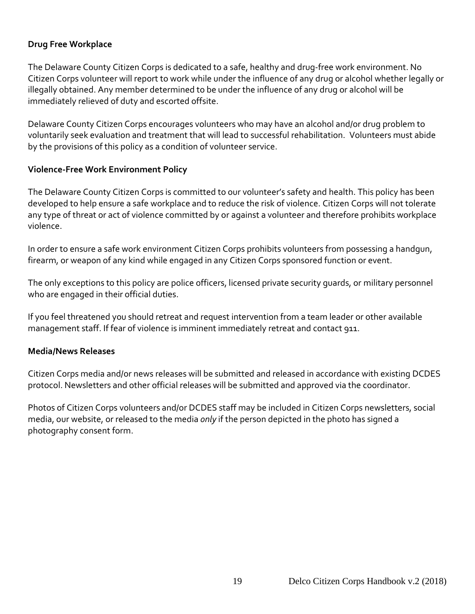## **Drug Free Workplace**

The Delaware County Citizen Corps is dedicated to a safe, healthy and drug-free work environment. No Citizen Corps volunteer will report to work while under the influence of any drug or alcohol whether legally or illegally obtained. Any member determined to be under the influence of any drug or alcohol will be immediately relieved of duty and escorted offsite.

Delaware County Citizen Corps encourages volunteers who may have an alcohol and/or drug problem to voluntarily seek evaluation and treatment that will lead to successful rehabilitation. Volunteers must abide by the provisions of this policy as a condition of volunteer service.

#### **Violence-Free Work Environment Policy**

The Delaware County Citizen Corps is committed to our volunteer's safety and health. This policy has been developed to help ensure a safe workplace and to reduce the risk of violence. Citizen Corps will not tolerate any type of threat or act of violence committed by or against a volunteer and therefore prohibits workplace violence.

In order to ensure a safe work environment Citizen Corps prohibits volunteers from possessing a handgun, firearm, or weapon of any kind while engaged in any Citizen Corps sponsored function or event.

The only exceptions to this policy are police officers, licensed private security guards, or military personnel who are engaged in their official duties.

If you feel threatened you should retreat and request intervention from a team leader or other available management staff. If fear of violence is imminent immediately retreat and contact 911.

#### **Media/News Releases**

Citizen Corps media and/or news releases will be submitted and released in accordance with existing DCDES protocol. Newsletters and other official releases will be submitted and approved via the coordinator.

Photos of Citizen Corps volunteers and/or DCDES staff may be included in Citizen Corps newsletters, social media, our website, or released to the media *only* if the person depicted in the photo has signed a photography consent form.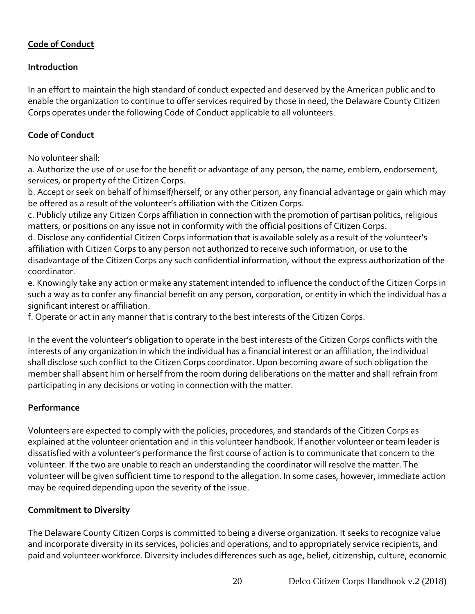# <span id="page-19-0"></span>**Code of Conduct**

## **Introduction**

In an effort to maintain the high standard of conduct expected and deserved by the American public and to enable the organization to continue to offer services required by those in need, the Delaware County Citizen Corps operates under the following Code of Conduct applicable to all volunteers.

## **Code of Conduct**

No volunteer shall:

a. Authorize the use of or use for the benefit or advantage of any person, the name, emblem, endorsement, services, or property of the Citizen Corps.

b. Accept or seek on behalf of himself/herself, or any other person, any financial advantage or gain which may be offered as a result of the volunteer's affiliation with the Citizen Corps.

c. Publicly utilize any Citizen Corps affiliation in connection with the promotion of partisan politics, religious matters, or positions on any issue not in conformity with the official positions of Citizen Corps.

d. Disclose any confidential Citizen Corps information that is available solely as a result of the volunteer's affiliation with Citizen Corps to any person not authorized to receive such information, or use to the disadvantage of the Citizen Corps any such confidential information, without the express authorization of the coordinator.

e. Knowingly take any action or make any statement intended to influence the conduct of the Citizen Corps in such a way as to confer any financial benefit on any person, corporation, or entity in which the individual has a significant interest or affiliation.

f. Operate or act in any manner that is contrary to the best interests of the Citizen Corps.

In the event the volunteer's obligation to operate in the best interests of the Citizen Corps conflicts with the interests of any organization in which the individual has a financial interest or an affiliation, the individual shall disclose such conflict to the Citizen Corps coordinator. Upon becoming aware of such obligation the member shall absent him or herself from the room during deliberations on the matter and shall refrain from participating in any decisions or voting in connection with the matter.

## **Performance**

Volunteers are expected to comply with the policies, procedures, and standards of the Citizen Corps as explained at the volunteer orientation and in this volunteer handbook. If another volunteer or team leader is dissatisfied with a volunteer's performance the first course of action is to communicate that concern to the volunteer. If the two are unable to reach an understanding the coordinator will resolve the matter. The volunteer will be given sufficient time to respond to the allegation. In some cases, however, immediate action may be required depending upon the severity of the issue.

#### **Commitment to Diversity**

The Delaware County Citizen Corps is committed to being a diverse organization. It seeks to recognize value and incorporate diversity in its services, policies and operations, and to appropriately service recipients, and paid and volunteer workforce. Diversity includes differences such as age, belief, citizenship, culture, economic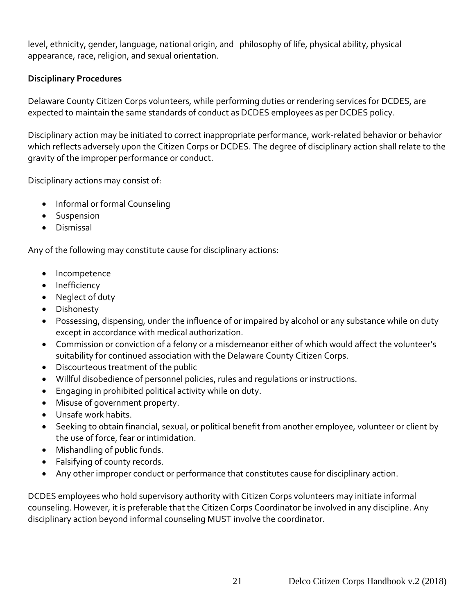level, ethnicity, gender, language, national origin, and philosophy of life, physical ability, physical appearance, race, religion, and sexual orientation.

## **Disciplinary Procedures**

Delaware County Citizen Corps volunteers, while performing duties or rendering services for DCDES, are expected to maintain the same standards of conduct as DCDES employees as per DCDES policy.

Disciplinary action may be initiated to correct inappropriate performance, work-related behavior or behavior which reflects adversely upon the Citizen Corps or DCDES. The degree of disciplinary action shall relate to the gravity of the improper performance or conduct.

Disciplinary actions may consist of:

- Informal or formal Counseling
- Suspension
- Dismissal

Any of the following may constitute cause for disciplinary actions:

- Incompetence
- Inefficiency
- Neglect of duty
- Dishonesty
- Possessing, dispensing, under the influence of or impaired by alcohol or any substance while on duty except in accordance with medical authorization.
- Commission or conviction of a felony or a misdemeanor either of which would affect the volunteer's suitability for continued association with the Delaware County Citizen Corps.
- Discourteous treatment of the public
- Willful disobedience of personnel policies, rules and regulations or instructions.
- Engaging in prohibited political activity while on duty.
- Misuse of government property.
- Unsafe work habits.
- Seeking to obtain financial, sexual, or political benefit from another employee, volunteer or client by the use of force, fear or intimidation.
- Mishandling of public funds.
- Falsifying of county records.
- Any other improper conduct or performance that constitutes cause for disciplinary action.

DCDES employees who hold supervisory authority with Citizen Corps volunteers may initiate informal counseling. However, it is preferable that the Citizen Corps Coordinator be involved in any discipline. Any disciplinary action beyond informal counseling MUST involve the coordinator.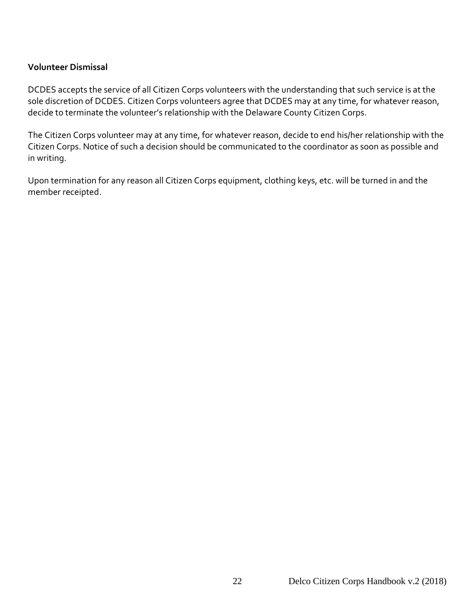#### **Volunteer Dismissal**

DCDES accepts the service of all Citizen Corps volunteers with the understanding that such service is at the sole discretion of DCDES. Citizen Corps volunteers agree that DCDES may at any time, for whatever reason, decide to terminate the volunteer's relationship with the Delaware County Citizen Corps.

The Citizen Corps volunteer may at any time, for whatever reason, decide to end his/her relationship with the Citizen Corps. Notice of such a decision should be communicated to the coordinator as soon as possible and in writing.

Upon termination for any reason all Citizen Corps equipment, clothing keys, etc. will be turned in and the member receipted.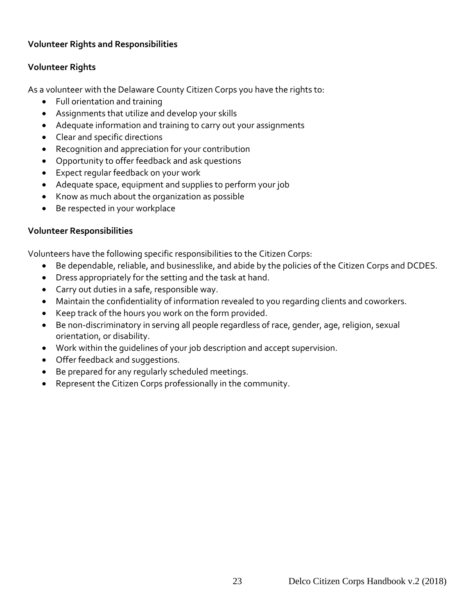## <span id="page-22-0"></span>**Volunteer Rights and Responsibilities**

## **Volunteer Rights**

As a volunteer with the Delaware County Citizen Corps you have the rights to:

- Full orientation and training
- Assignments that utilize and develop your skills
- Adequate information and training to carry out your assignments
- Clear and specific directions
- Recognition and appreciation for your contribution
- Opportunity to offer feedback and ask questions
- Expect regular feedback on your work
- Adequate space, equipment and supplies to perform your job
- Know as much about the organization as possible
- Be respected in your workplace

#### **Volunteer Responsibilities**

Volunteers have the following specific responsibilities to the Citizen Corps:

- Be dependable, reliable, and businesslike, and abide by the policies of the Citizen Corps and DCDES.
- Dress appropriately for the setting and the task at hand.
- Carry out duties in a safe, responsible way.
- Maintain the confidentiality of information revealed to you regarding clients and coworkers.
- Keep track of the hours you work on the form provided.
- Be non-discriminatory in serving all people regardless of race, gender, age, religion, sexual orientation, or disability.
- Work within the guidelines of your job description and accept supervision.
- Offer feedback and suggestions.
- Be prepared for any regularly scheduled meetings.
- Represent the Citizen Corps professionally in the community.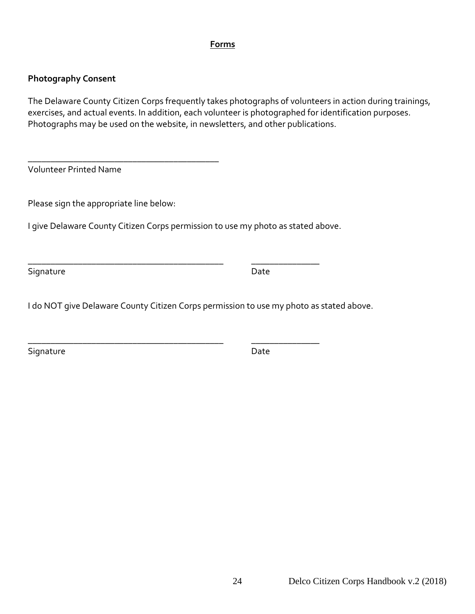#### **Forms**

#### <span id="page-23-0"></span>**Photography Consent**

The Delaware County Citizen Corps frequently takes photographs of volunteers in action during trainings, exercises, and actual events. In addition, each volunteer is photographed for identification purposes. Photographs may be used on the website, in newsletters, and other publications.

Volunteer Printed Name

Please sign the appropriate line below:

\_\_\_\_\_\_\_\_\_\_\_\_\_\_\_\_\_\_\_\_\_\_\_\_\_\_\_\_\_\_\_\_\_\_\_\_\_\_\_\_\_\_

I give Delaware County Citizen Corps permission to use my photo as stated above.

\_\_\_\_\_\_\_\_\_\_\_\_\_\_\_\_\_\_\_\_\_\_\_\_\_\_\_\_\_\_\_\_\_\_\_\_\_\_\_\_\_\_\_ \_\_\_\_\_\_\_\_\_\_\_\_\_\_\_

\_\_\_\_\_\_\_\_\_\_\_\_\_\_\_\_\_\_\_\_\_\_\_\_\_\_\_\_\_\_\_\_\_\_\_\_\_\_\_\_\_\_\_ \_\_\_\_\_\_\_\_\_\_\_\_\_\_\_

Signature Date Date Date

I do NOT give Delaware County Citizen Corps permission to use my photo as stated above.

Signature Date Date Date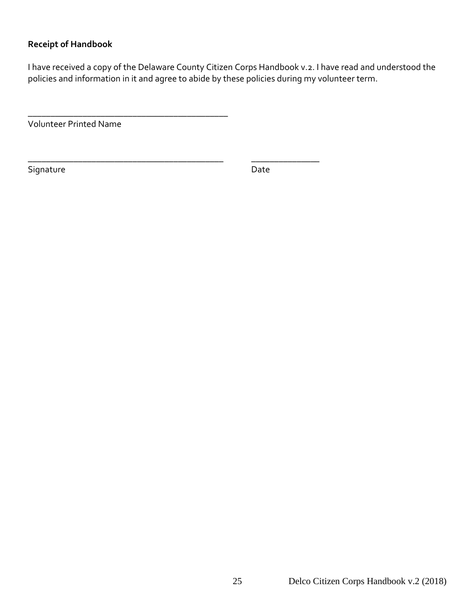## **Receipt of Handbook**

I have received a copy of the Delaware County Citizen Corps Handbook v.2. I have read and understood the policies and information in it and agree to abide by these policies during my volunteer term.

Volunteer Printed Name

\_\_\_\_\_\_\_\_\_\_\_\_\_\_\_\_\_\_\_\_\_\_\_\_\_\_\_\_\_\_\_\_\_\_\_\_\_\_\_\_\_\_\_\_

\_\_\_\_\_\_\_\_\_\_\_\_\_\_\_\_\_\_\_\_\_\_\_\_\_\_\_\_\_\_\_\_\_\_\_\_\_\_\_\_\_\_\_ \_\_\_\_\_\_\_\_\_\_\_\_\_\_\_

Signature Date Date Date